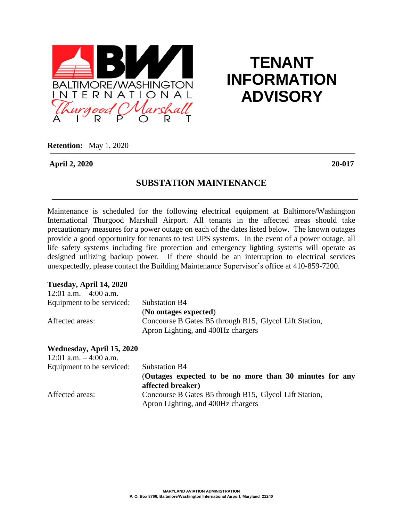

# **TENANT INFORMATION ADVISORY**

**Retention:** May 1, 2020

**April 2, 2020 20-017**

### **SUBSTATION MAINTENANCE**

Maintenance is scheduled for the following electrical equipment at Baltimore/Washington International Thurgood Marshall Airport. All tenants in the affected areas should take precautionary measures for a power outage on each of the dates listed below. The known outages provide a good opportunity for tenants to test UPS systems. In the event of a power outage, all life safety systems including fire protection and emergency lighting systems will operate as designed utilizing backup power. If there should be an interruption to electrical services unexpectedly, please contact the Building Maintenance Supervisor's office at 410-859-7200.

### **Tuesday, April 14, 2020**

| 12:01 a.m. $-4:00$ a.m.   |                                                        |
|---------------------------|--------------------------------------------------------|
| Equipment to be serviced: | Substation B4                                          |
|                           | (No outages expected)                                  |
| Affected areas:           | Concourse B Gates B5 through B15, Glycol Lift Station, |
|                           | Apron Lighting, and 400Hz chargers                     |

## **Wednesday, April 15, 2020**

| 12:01 a.m. $-4:00$ a.m.   |                                                                                              |
|---------------------------|----------------------------------------------------------------------------------------------|
| Equipment to be serviced: | Substation B4                                                                                |
|                           | (Outages expected to be no more than 30 minutes for any<br>affected breaker)                 |
| Affected areas:           | Concourse B Gates B5 through B15, Glycol Lift Station,<br>Apron Lighting, and 400Hz chargers |